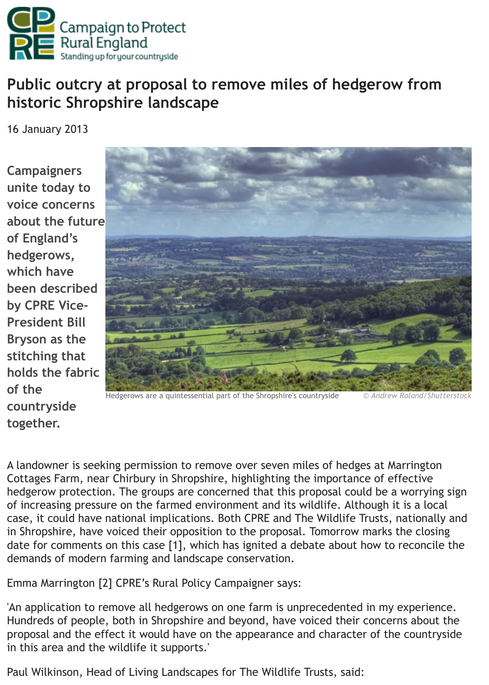

## **historic Shropshire landscape**

16 January 2013

**Campaigners unite today to voice concerns about the future of England's hedgerows, which have been described by CPRE Vice-President Bill Bryson as the stitching that holds the fabric of the countryside together.**



[Hedgerows are a quintessential part of the Shropshire's countryside](http://www.cpre.org.uk/media/k2/items/cache/26d5c33fa5367f82799e57d24c3b4ca3_XL.jpg) <sup>©</sup> Andrew Roland/Shutterstock

A landowner is seeking permission to remove over seven miles of hedges at Marrington Cottages Farm, near Chirbury in Shropshire, highlighting the importance of effective hedgerow protection. The groups are concerned that this proposal could be a worrying sign of increasing pressure on the farmed environment and its wildlife. Although it is a local case, it could have national implications. Both CPRE and The Wildlife Trusts, nationally and in Shropshire, have voiced their opposition to the proposal. Tomorrow marks the closing date for comments on this case [1], which has ignited a debate about how to reconcile the demands of modern farming and landscape conservation.

Emma Marrington [2] CPRE's Rural Policy Campaigner says:

'An application to remove all hedgerows on one farm is unprecedented in my experience. Hundreds of people, both in Shropshire and beyond, have voiced their concerns about the proposal and the effect it would have on the appearance and character of the countryside in this area and the wildlife it supports.'

Paul Wilkinson, Head of Living Landscapes for The Wildlife Trusts, said: